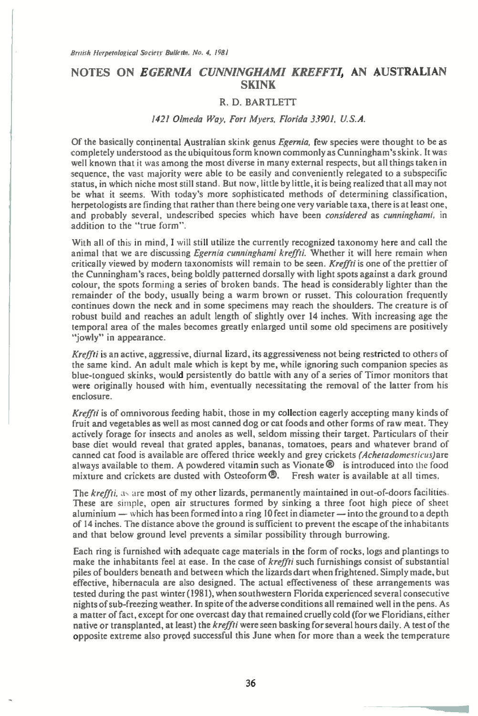## **NOTES ON** *EGERNIA CUNNINGHAM' KREFFTI,* **AN AUSTRALIAN SKINK**

## R. D. BARTLETT

## 1421 Olmeda Way, Fort Myers, Florida 33901, U.S.A.

Of the basically continental Australian skink genus Egernia, few species were thought to be as completely understood as the ubiquitous form known commonly as Cunningham's skink. It was well known that it was among the most diverse in many external respects, but all things taken in sequence, the vast majority were able to be easily and conveniently relegated to a subspecific status, in which niche most still stand. But now, little by little, it is being realized that all may not be what it seems. With today's more sophisticated methods of determining classification, herpetologists are finding that rather than there being one very variable taxa, there is at least one, and probably several, undescribed species which have been *considered* as *cunninghami*, in addition to the "true form".

With all of this in mind, I will still utilize the currently recognized taxonomy here and call the animal that we are discussing *Egernia cunninghami kreffti*. Whether it will here remain when critically viewed by modern taxonomists will remain to be seen. Kreffti is one of the prettier of the Cunningham's races, being boldly patterned dorsally with light spots against a dark ground colour, the spots forming a series of broken bands. The head is considerably lighter than the remainder of the body, usually being a warm brown or russet. This colouration frequently continues down the neck and in some specimens may reach the shoulders. The creature is of robust build and reaches an adult length of slightly over 14 inches. With increasing age the temporal area of the males becomes greatly enlarged until some old specimens are positively "jowly" in appearance.

Kreffti is an active, aggressive, diurnal lizard, its aggressiveness not being restricted to others of the same kind. An adult male which is kept by me, while ignoring such companion species as blue-tongued skinks, would persistently do battle with any of a series of Timor monitors that were originally housed with him, eventually necessitating the removal of the latter from his enclosure.

Kreffti is of omnivorous feeding habit, those in my collection eagerly accepting many kinds of fruit and vegetables as well as most canned dog or cat foods and other forms of raw meat. They actively forage for insects and anoles as well, seldom missing their target. Particulars of their base diet would reveal that grated apples, bananas, tomatoes, pears and whatever brand of canned cat food is available are offered thrice weekly and grey crickets (Achetadomesticus)are always available to them. A powdered vitamin such as Vionate  $\mathbf{Q}$  is introduced into the food mixture and crickets are dusted with Osteoform  $\mathbf{Q}$ . Fresh water is available at all times. mixture and crickets are dusted with Osteoform  $\mathbf{\mathcal{D}}$ .

The kreffti, as are most of my other lizards, permanently maintained in out-of-doors facilities. These are simple, open air structures formed by sinking a three foot high piece of sheet aluminium — which has been formed into a ring 10 feet in diameter — into the ground to a depth of 14 inches. The distance above the ground is sufficient to prevent the escape of the inhabitants and that below ground level prevents a similar possibility through burrowing.

Each ring is furnished with adequate cage materials in the form of rocks, logs and plantings to make the inhabitants feel at ease. In the case of kreffti such furnishings consist of substantial piles of boulders beneath and between which the lizards dart when frightened. Simply made, but effective, hibernacula are also designed. The actual effectiveness of these arrangements was tested during the past winter (1981), when southwestern Florida experienced several consecutive nights of sub-freezing weather. In spite of the adverse conditions all remained well in the pens. As a matter of fact, except for one overcast day that remained cruelly cold (for we Floridians, either native or transplanted, at least) the kreffti were seen basking for several hours daily. A test of the opposite extreme also proved successful this June when for more than a week the temperature